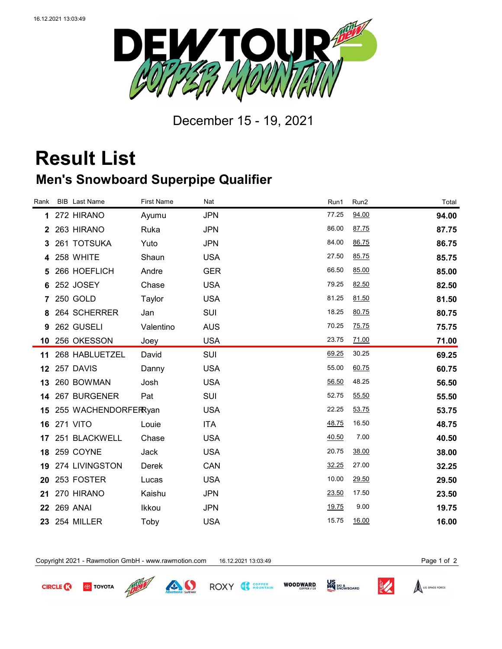

December 15 - 19, 2021

## **Result List**

## **Men's Snowboard Superpipe Qualifier**

| Rank | <b>BIB</b> Last Name    | <b>First Name</b> | Nat        | Run1  | Run2  | Total |
|------|-------------------------|-------------------|------------|-------|-------|-------|
| 1    | 272 HIRANO              | Ayumu             | <b>JPN</b> | 77.25 | 94.00 | 94.00 |
| 2    | 263 HIRANO              | Ruka              | <b>JPN</b> | 86.00 | 87.75 | 87.75 |
| 3    | 261 TOTSUKA             | Yuto              | <b>JPN</b> | 84.00 | 86.75 | 86.75 |
| 4    | 258 WHITE               | Shaun             | <b>USA</b> | 27.50 | 85.75 | 85.75 |
| 5    | 266 HOEFLICH            | Andre             | <b>GER</b> | 66.50 | 85.00 | 85.00 |
| 6    | 252 JOSEY               | Chase             | <b>USA</b> | 79.25 | 82.50 | 82.50 |
|      | 7 250 GOLD              | Taylor            | <b>USA</b> | 81.25 | 81.50 | 81.50 |
| 8    | 264 SCHERRER            | Jan               | SUI        | 18.25 | 80.75 | 80.75 |
| 9    | 262 GUSELI              | Valentino         | <b>AUS</b> | 70.25 | 75.75 | 75.75 |
|      | 10 256 OKESSON          | Joey              | <b>USA</b> | 23.75 | 71.00 | 71.00 |
|      | 11 268 HABLUETZEL       | David             | SUI        | 69.25 | 30.25 | 69.25 |
|      | <b>12 257 DAVIS</b>     | Danny             | <b>USA</b> | 55.00 | 60.75 | 60.75 |
| 13   | 260 BOWMAN              | Josh              | <b>USA</b> | 56.50 | 48.25 | 56.50 |
|      | 14 267 BURGENER         | Pat               | SUI        | 52.75 | 55.50 | 55.50 |
|      | 15 255 WACHENDORFERRyan |                   | <b>USA</b> | 22.25 | 53.75 | 53.75 |
|      | <b>16 271 VITO</b>      | Louie             | <b>ITA</b> | 48.75 | 16.50 | 48.75 |
| 17   | 251 BLACKWELL           | Chase             | <b>USA</b> | 40.50 | 7.00  | 40.50 |
|      | 18 259 COYNE            | Jack              | <b>USA</b> | 20.75 | 38.00 | 38.00 |
|      | 19 274 LIVINGSTON       | Derek             | CAN        | 32.25 | 27.00 | 32.25 |
| 20   | 253 FOSTER              | Lucas             | <b>USA</b> | 10.00 | 29.50 | 29.50 |
| 21   | 270 HIRANO              | Kaishu            | <b>JPN</b> | 23.50 | 17.50 | 23.50 |
| 22   | 269 ANAI                | Ikkou             | <b>JPN</b> | 19.75 | 9.00  | 19.75 |
|      | 23 254 MILLER           | Toby              | <b>USA</b> | 15.75 | 16.00 | 16.00 |

Copyright 2021 - Rawmotion GmbH - www.rawmotion.com 16.12.2021 13:03:49 Page 1 of 2



**TOYOTA**